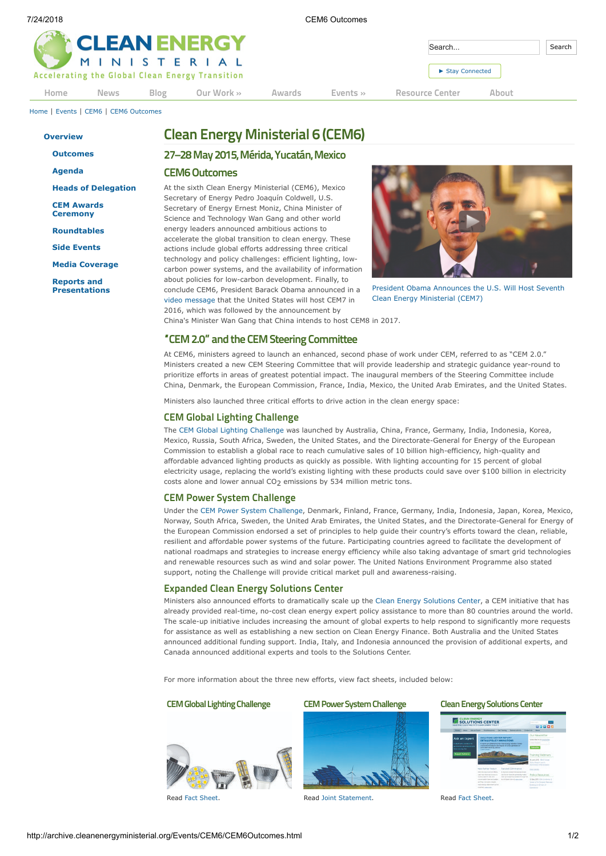7/24/2018 CEM6 Outcomes

| <b>CLEAN ENERGY</b>                             |                         |                |        |              |                        |       | Search |
|-------------------------------------------------|-------------------------|----------------|--------|--------------|------------------------|-------|--------|
| Accelerating the Global Clean Energy Transition | / M I N I S T E R I A L |                |        |              | Stay Connected         |       |        |
| <b>News</b><br>Home                             | Blog                    | Our Work $\gg$ | Awards | Events $\gg$ | <b>Resource Center</b> | About |        |

[Home](http://archive.cleanenergyministerial.org/index.html) | [Events](http://archive.cleanenergyministerial.org/Events.html) | [CEM6](http://archive.cleanenergyministerial.org/Events/CEM6.html) | [CEM6 Outcomes](http://archive.cleanenergyministerial.org/Events/CEM6/CEM6Outcomes.html)

**[Overview](http://archive.cleanenergyministerial.org/Events/CEM6.html) [Outcomes](http://archive.cleanenergyministerial.org/Events/CEM6/CEM6Outcomes.html) [Agenda](http://archive.cleanenergyministerial.org/Events/CEM6/Agenda.html) [Heads of Delegation](http://archive.cleanenergyministerial.org/Events/CEM6/Ministers.html)**

**[CEM Awards](http://archive.cleanenergyministerial.org/Events/CEM6/CEMAwards.html) Ceremony**

**[Roundtables](http://archive.cleanenergyministerial.org/Events/CEM6/Roundtable.html)**

**[Side Events](http://archive.cleanenergyministerial.org/Events/CEM6/Side-Events.html)**

**[Media Coverage](http://archive.cleanenergyministerial.org/Events/CEM6/Media.html)**

**Reports and [Presentations](http://archive.cleanenergyministerial.org/Resource-Center/Ministerials/CEM6-Resources.html)**

# **Clean Energy Ministerial 6 (CEM6)**

# **27–28May 2015,Mérida,Yucatán,Mexico**

#### **CEM6Outcomes**

At the sixth Clean Energy Ministerial (CEM6), Mexico Secretary of Energy Pedro Joaquín Coldwell, U.S. Secretary of Energy Ernest Moniz, China Minister of Science and Technology Wan Gang and other world energy leaders announced ambitious actions to accelerate the global transition to clean energy. These actions include global efforts addressing three critical technology and policy challenges: efficient lighting, lowcarbon power systems, and the availability of information about policies for low-carbon development. Finally, to conclude CEM6, President Barack Obama announced in a [video message](http://youtu.be/TUYdK4cNsBY) that the United States will host CEM7 in 2016, which was followed by the announcement by



[President Obama Announces the U.S. Will Host Seventh](https://youtu.be/TUYdK4cNsBY) Clean Energy Ministerial (CEM7)

China's Minister Wan Gang that China intends to host CEM8 in 2017.

# **"CEM2.0" andthe CEMSteering Committee**

At CEM6, ministers agreed to launch an enhanced, second phase of work under CEM, referred to as "CEM 2.0." Ministers created a new CEM Steering Committee that will provide leadership and strategic guidance year-round to prioritize efforts in areas of greatest potential impact. The inaugural members of the Steering Committee include China, Denmark, the European Commission, France, India, Mexico, the United Arab Emirates, and the United States.

Ministers also launched three critical efforts to drive action in the clean energy space:

### **CEM Global Lighting Challenge**

The [CEM Global Lighting Challenge](http://archive.cleanenergyministerial.org/portals/2/pdfs/CEM6-GlobalLightingChallenge-FactSheet.pdf) was launched by Australia, China, France, Germany, India, Indonesia, Korea, Mexico, Russia, South Africa, Sweden, the United States, and the Directorate-General for Energy of the European Commission to establish a global race to reach cumulative sales of 10 billion high-efficiency, high-quality and affordable advanced lighting products as quickly as possible. With lighting accounting for 15 percent of global electricity usage, replacing the world's existing lighting with these products could save over \$100 billion in electricity costs alone and lower annual  $CO<sub>2</sub>$  emissions by 534 million metric tons.

#### **CEM Power System Challenge**

Under the [CEM Power System Challenge,](http://archive.cleanenergyministerial.org/portals/2/pdfs/CEM6-CEMPowerSystemChallenge-JointStatement.pdf) Denmark, Finland, France, Germany, India, Indonesia, Japan, Korea, Mexico, Norway, South Africa, Sweden, the United Arab Emirates, the United States, and the Directorate-General for Energy of the European Commission endorsed a set of principles to help guide their country's efforts toward the clean, reliable, resilient and affordable power systems of the future. Participating countries agreed to facilitate the development of national roadmaps and strategies to increase energy efficiency while also taking advantage of smart grid technologies and renewable resources such as wind and solar power. The United Nations Environment Programme also stated support, noting the Challenge will provide critical market pull and awareness-raising.

### **Expanded Clean Energy Solutions Center**

Ministers also announced efforts to dramatically scale up the [Clean Energy Solutions Center,](http://archive.cleanenergyministerial.org/portals/2/pdfs/CEM6-CleanEnergySolutionsCenterChallenge-FactSheet.pdf) a CEM initiative that has already provided real-time, no-cost clean energy expert policy assistance to more than 80 countries around the world. The scale-up initiative includes increasing the amount of global experts to help respond to significantly more requests for assistance as well as establishing a new section on Clean Energy Finance. Both Australia and the United States announced additional funding support. India, Italy, and Indonesia announced the provision of additional experts, and Canada announced additional experts and tools to the Solutions Center.

For more information about the three new efforts, view fact sheets, included below:

#### **CEMGlobalLightingChallenge**



Read [Fact Sheet](http://archive.cleanenergyministerial.org/Portals/2/pdfs/CEM6-GlobalLightingChallenge-FactSheet-2.pdf).



Read [Joint Statement.](http://archive.cleanenergyministerial.org/Portals/2/pdfs/CEM6-CEMPowerSystemChallenge-JointStatement-2.pdf)

## **Clean Energy Solutions Center**



Read [Fact Sheet](http://archive.cleanenergyministerial.org/Portals/2/pdfs/CEM6-CleanEnergySolutionsCenterChallenge-FactSheet-2.pdf).